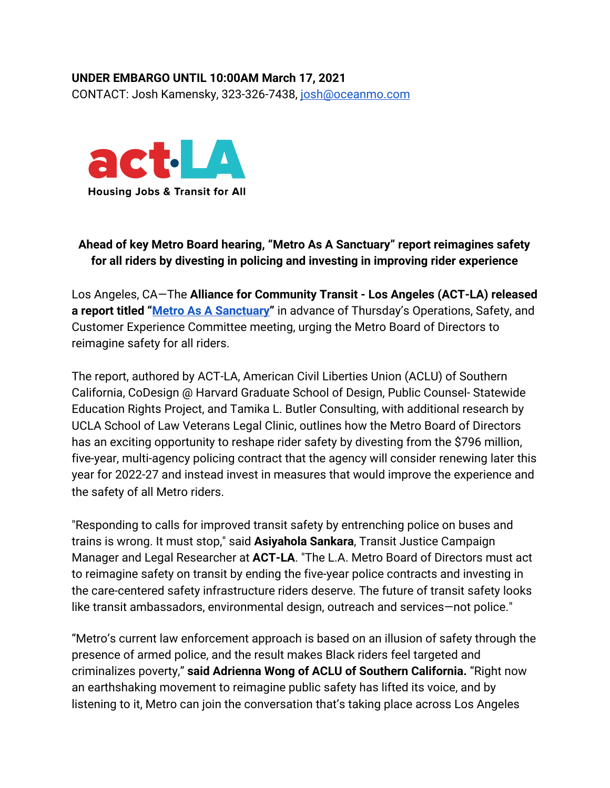## **UNDER EMBARGO UNTIL 10:00AM March 17, 2021** CONTACT: Josh Kamensky, 323-326-7438, [josh@oceanmo.com](mailto:josh@oceanmo.com)



## **Ahead of key Metro Board hearing, "Metro As A Sanctuary" report reimagines safety for all riders by divesting in policing and investing in improving rider experience**

Los Angeles, CA—The **Alliance for Community Transit - Los Angeles (ACT-LA) released a report titled "[Metro As A Sanctuary"](http://allianceforcommunitytransit.org/wp-content/uploads/2021/03/Metro-as-a-Sanctuary-ACT-LA.pdf)** in advance of Thursday's Operations, Safety, and Customer Experience Committee meeting, urging the Metro Board of Directors to reimagine safety for all riders.

The report, authored by ACT-LA, American Civil Liberties Union (ACLU) of Southern California, CoDesign @ Harvard Graduate School of Design, Public Counsel- Statewide Education Rights Project, and Tamika L. Butler Consulting, with additional research by UCLA School of Law Veterans Legal Clinic, outlines how the Metro Board of Directors has an exciting opportunity to reshape rider safety by divesting from the \$796 million, five-year, multi-agency policing contract that the agency will consider renewing later this year for 2022-27 and instead invest in measures that would improve the experience and the safety of all Metro riders.

"Responding to calls for improved transit safety by entrenching police on buses and trains is wrong. It must stop," said **Asiyahola Sankara**, Transit Justice Campaign Manager and Legal Researcher at **ACT-LA**. "The L.A. Metro Board of Directors must act to reimagine safety on transit by ending the five-year police contracts and investing in the care-centered safety infrastructure riders deserve. The future of transit safety looks like transit ambassadors, environmental design, outreach and services—not police."

"Metro's current law enforcement approach is based on an illusion of safety through the presence of armed police, and the result makes Black riders feel targeted and criminalizes poverty," **said Adrienna Wong of ACLU of Southern California.** "Right now an earthshaking movement to reimagine public safety has lifted its voice, and by listening to it, Metro can join the conversation that's taking place across Los Angeles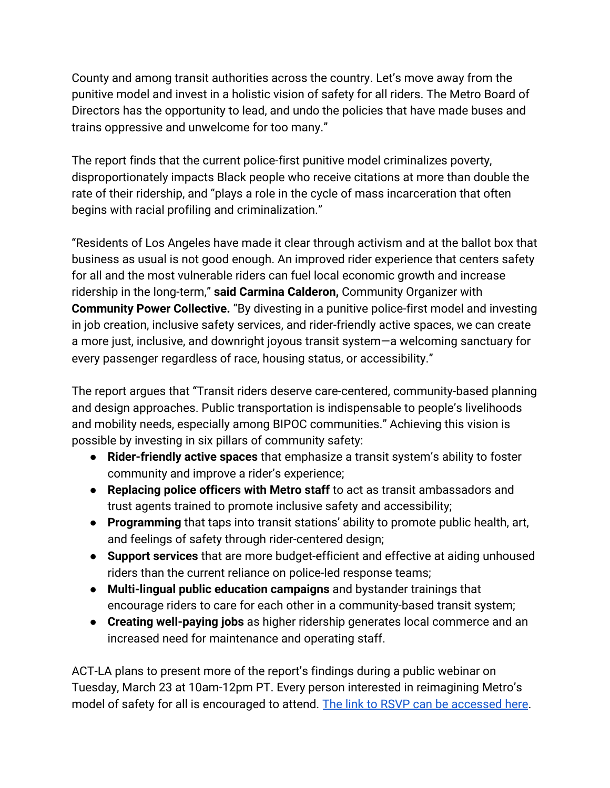County and among transit authorities across the country. Let's move away from the punitive model and invest in a holistic vision of safety for all riders. The Metro Board of Directors has the opportunity to lead, and undo the policies that have made buses and trains oppressive and unwelcome for too many."

The report finds that the current police-first punitive model criminalizes poverty, disproportionately impacts Black people who receive citations at more than double the rate of their ridership, and "plays a role in the cycle of mass incarceration that often begins with racial profiling and criminalization."

"Residents of Los Angeles have made it clear through activism and at the ballot box that business as usual is not good enough. An improved rider experience that centers safety for all and the most vulnerable riders can fuel local economic growth and increase ridership in the long-term," **said Carmina Calderon,** Community Organizer with **Community Power Collective.** "By divesting in a punitive police-first model and investing in job creation, inclusive safety services, and rider-friendly active spaces, we can create a more just, inclusive, and downright joyous transit system—a welcoming sanctuary for every passenger regardless of race, housing status, or accessibility."

The report argues that "Transit riders deserve care-centered, community-based planning and design approaches. Public transportation is indispensable to people's livelihoods and mobility needs, especially among BIPOC communities." Achieving this vision is possible by investing in six pillars of community safety:

- **Rider-friendly active spaces** that emphasize a transit system's ability to foster community and improve a rider's experience;
- **Replacing police officers with Metro staff** to act as transit ambassadors and trust agents trained to promote inclusive safety and accessibility;
- **Programming** that taps into transit stations' ability to promote public health, art, and feelings of safety through rider-centered design;
- **Support services** that are more budget-efficient and effective at aiding unhoused riders than the current reliance on police-led response teams;
- **Multi-lingual public education campaigns** and bystander trainings that encourage riders to care for each other in a community-based transit system;
- **Creating well-paying jobs** as higher ridership generates local commerce and an increased need for maintenance and operating staff.

ACT-LA plans to present more of the report's findings during a public webinar on Tuesday, March 23 at 10am-12pm PT. Every person interested in reimagining Metro's model of safety for all is encouraged to attend. [The link to RSVP can be accessed here](https://us02web.zoom.us/webinar/register/WN_sFAIoIHPRmqyyXuNPZHY5A).